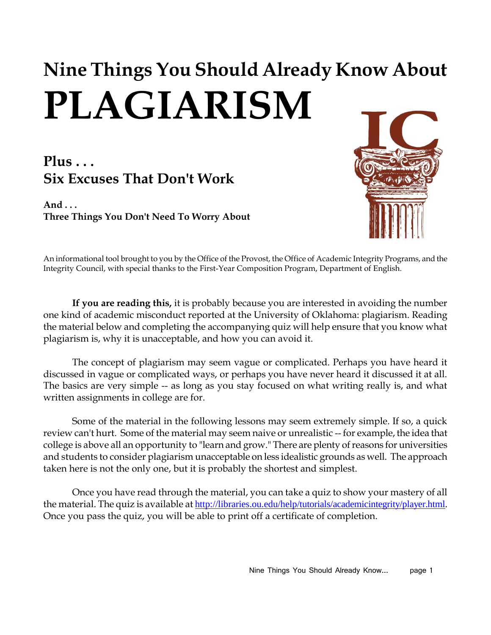# **Nine Things You Should Already Know About PLAGIARISM**

### **Plus . . . Six Excuses That Don't Work**

**And . . . Three Things You Don't Need To Worry About**



An informational tool brought to you by the Office of the Provost, the Office of Academic Integrity Programs, and the Integrity Council, with special thanks to the First-Year Composition Program, Department of English.

**If you are reading this,** it is probably because you are interested in avoiding the number one kind of academic misconduct reported at the University of Oklahoma: plagiarism. Reading the material below and completing the accompanying quiz will help ensure that you know what plagiarism is, why it is unacceptable, and how you can avoid it.

The concept of plagiarism may seem vague or complicated. Perhaps you have heard it discussed in vague or complicated ways, or perhaps you have never heard it discussed it at all. The basics are very simple -- as long as you stay focused on what writing really is, and what written assignments in college are for.

Some of the material in the following lessons may seem extremely simple. If so, a quick review can't hurt. Some of the material may seem naive or unrealistic -- for example, the idea that college is above all an opportunity to "learn and grow." There are plenty of reasons for universities and students to consider plagiarism unacceptable on less idealistic grounds as well. The approach taken here is not the only one, but it is probably the shortest and simplest.

Once you have read through the material, you can take a quiz to show your mastery of all the material. The quiz is available at [http://libraries.ou.edu/help/tutorials/academicintegrity/player.html.](http://libraries.ou.edu/help/tutorials/academicintegrity/player.html) Once you pass the quiz, you will be able to print off a certificate of completion.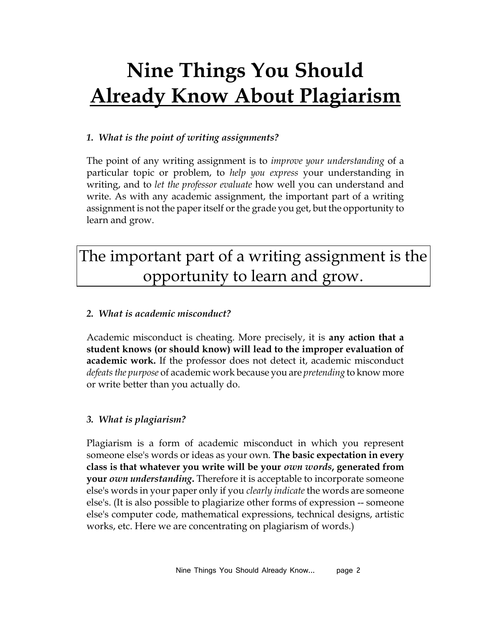# **Nine Things You Should Already Know About Plagiarism**

#### *1. What is the point of writing assignments?*

The point of any writing assignment is to *improve your understanding* of a particular topic or problem, to *help you express* your understanding in writing, and to *let the professor evaluate* how well you can understand and write. As with any academic assignment, the important part of a writing assignment is not the paper itself or the grade you get, but the opportunity to learn and grow.

### The important part of a writing assignment is the opportunity to learn and grow.

#### *2. What is academic misconduct?*

Academic misconduct is cheating. More precisely, it is **any action that a student knows (or should know) will lead to the improper evaluation of academic work.** If the professor does not detect it, academic misconduct *defeats the purpose* of academic work because you are *pretending* to know more or write better than you actually do.

#### *3. What is plagiarism?*

Plagiarism is a form of academic misconduct in which you represent someone else's words or ideas as your own. **The basic expectation in every class is that whatever you write will be your** *own words***, generated from your** *own understanding***.** Therefore it is acceptable to incorporate someone else's words in your paper only if you *clearly indicate* the words are someone else's. (It is also possible to plagiarize other forms of expression -- someone else's computer code, mathematical expressions, technical designs, artistic works, etc. Here we are concentrating on plagiarism of words.)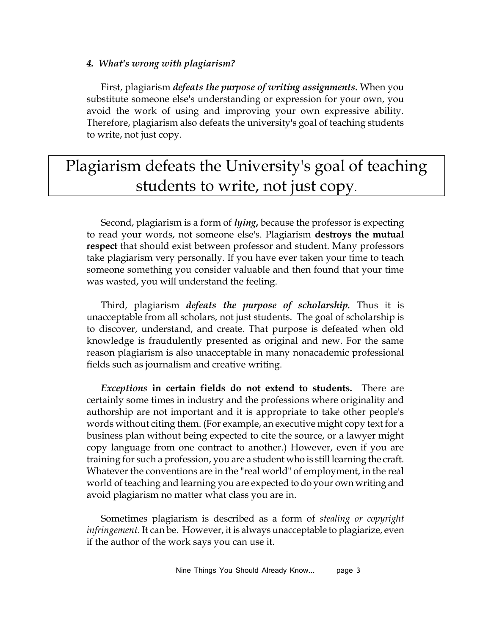#### *4. What's wrong with plagiarism?*

First, plagiarism *defeats the purpose of writing assignments***.** When you substitute someone else's understanding or expression for your own, you avoid the work of using and improving your own expressive ability. Therefore, plagiarism also defeats the university's goal of teaching students to write, not just copy.

### Plagiarism defeats the University's goal of teaching students to write, not just copy.

Second, plagiarism is a form of *lying***,** because the professor is expecting to read your words, not someone else's. Plagiarism **destroys the mutual respect** that should exist between professor and student. Many professors take plagiarism very personally. If you have ever taken your time to teach someone something you consider valuable and then found that your time was wasted, you will understand the feeling.

Third, plagiarism *defeats the purpose of scholarship.* Thus it is unacceptable from all scholars, not just students. The goal of scholarship is to discover, understand, and create. That purpose is defeated when old knowledge is fraudulently presented as original and new. For the same reason plagiarism is also unacceptable in many nonacademic professional fields such as journalism and creative writing.

*Exceptions* **in certain fields do not extend to students.** There are certainly some times in industry and the professions where originality and authorship are not important and it is appropriate to take other people's words without citing them. (For example, an executive might copy text for a business plan without being expected to cite the source, or a lawyer might copy language from one contract to another.) However, even if you are training for such a profession, you are a student who is still learning the craft. Whatever the conventions are in the "real world" of employment, in the real world of teaching and learning you are expected to do your own writing and avoid plagiarism no matter what class you are in.

Sometimes plagiarism is described as a form of *stealing or copyright infringement*. It can be. However, it is always unacceptable to plagiarize, even if the author of the work says you can use it.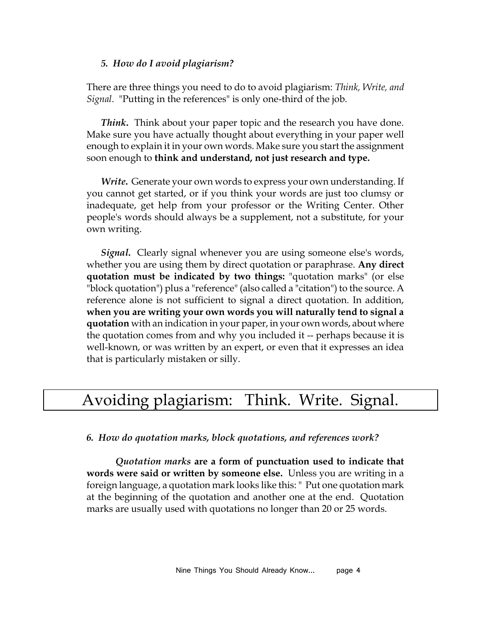#### *5. How do I avoid plagiarism?*

There are three things you need to do to avoid plagiarism: *Think, Write, and Signal*. "Putting in the references" is only one-third of the job.

*Think***.** Think about your paper topic and the research you have done. Make sure you have actually thought about everything in your paper well enough to explain it in your own words. Make sure you start the assignment soon enough to **think and understand, not just research and type.**

*Write***.** Generate your own words to express your own understanding. If you cannot get started, or if you think your words are just too clumsy or inadequate, get help from your professor or the Writing Center. Other people's words should always be a supplement, not a substitute, for your own writing.

*Signal***.** Clearly signal whenever you are using someone else's words, whether you are using them by direct quotation or paraphrase. **Any direct quotation must be indicated by two things:** "quotation marks" (or else "block quotation") plus a "reference" (also called a "citation") to the source. A reference alone is not sufficient to signal a direct quotation. In addition, **when you are writing your own words you will naturally tend to signal a quotation** with an indication in your paper, in your own words, about where the quotation comes from and why you included it -- perhaps because it is well-known, or was written by an expert, or even that it expresses an idea that is particularly mistaken or silly.

### Avoiding plagiarism: Think. Write. Signal.

#### *6. How do quotation marks, block quotations, and references work?*

*Quotation marks* **are a form of punctuation used to indicate that words were said or written by someone else.** Unless you are writing in a foreign language, a quotation mark looks like this: " Put one quotation mark at the beginning of the quotation and another one at the end. Quotation marks are usually used with quotations no longer than 20 or 25 words.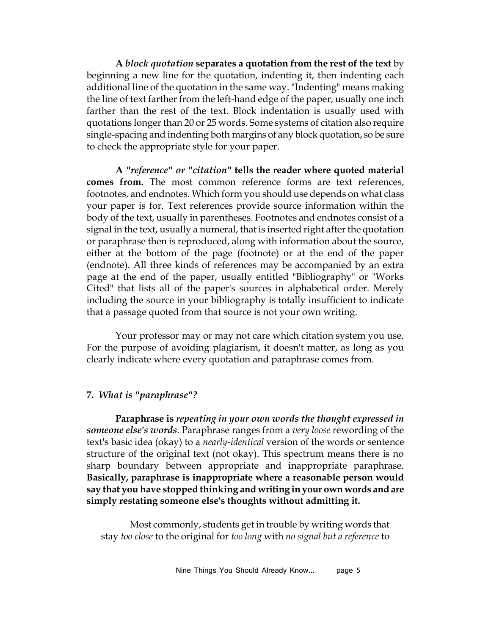**A** *block quotation* **separates a quotation from the rest of the text** by beginning a new line for the quotation, indenting it, then indenting each additional line of the quotation in the same way. "Indenting" means making the line of text farther from the left-hand edge of the paper, usually one inch farther than the rest of the text. Block indentation is usually used with quotations longer than 20 or 25 words. Some systems of citation also require single-spacing and indenting both margins of any block quotation, so be sure to check the appropriate style for your paper.

**A** *"reference" or "citation"* **tells the reader where quoted material comes from.** The most common reference forms are text references, footnotes, and endnotes. Which form you should use depends on what class your paper is for. Text references provide source information within the body of the text, usually in parentheses. Footnotes and endnotes consist of a signal in the text, usually a numeral, that is inserted right after the quotation or paraphrase then is reproduced, along with information about the source, either at the bottom of the page (footnote) or at the end of the paper (endnote). All three kinds of references may be accompanied by an extra page at the end of the paper, usually entitled "Bibliography" or "Works Cited" that lists all of the paper's sources in alphabetical order. Merely including the source in your bibliography is totally insufficient to indicate that a passage quoted from that source is not your own writing.

Your professor may or may not care which citation system you use. For the purpose of avoiding plagiarism, it doesn't matter, as long as you clearly indicate where every quotation and paraphrase comes from.

#### **7.** *What is "paraphrase"?*

**Paraphrase is** *repeating in your own words the thought expressed in someone else's words.* Paraphrase ranges from a *very loose* rewording of the text's basic idea (okay) to a *nearly-identical* version of the words or sentence structure of the original text (not okay). This spectrum means there is no sharp boundary between appropriate and inappropriate paraphrase. **Basically, paraphrase is inappropriate where a reasonable person would say that you have stopped thinking and writing in your own words and are simply restating someone else's thoughts without admitting it.** 

Most commonly, students get in trouble by writing words that stay *too close* to the original for *too long* with *no signal but a reference* to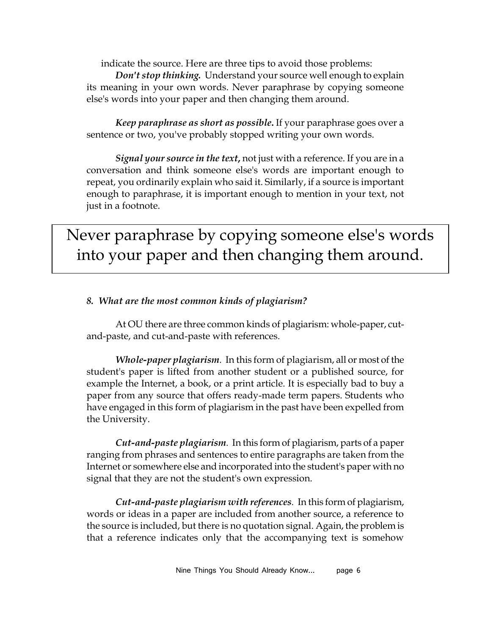indicate the source. Here are three tips to avoid those problems: *Don't stop thinking.* Understand your source well enough to explain

its meaning in your own words. Never paraphrase by copying someone else's words into your paper and then changing them around.

*Keep paraphrase as short as possible***.** If your paraphrase goes over a sentence or two, you've probably stopped writing your own words.

*Signal your source in the text***,** not just with a reference. If you are in a conversation and think someone else's words are important enough to repeat, you ordinarily explain who said it. Similarly, if a source is important enough to paraphrase, it is important enough to mention in your text, not just in a footnote.

Never paraphrase by copying someone else's words into your paper and then changing them around.

#### *8. What are the most common kinds of plagiarism?*

At OU there are three common kinds of plagiarism: whole-paper, cutand-paste, and cut-and-paste with references.

*Whole-paper plagiarism.* In this form of plagiarism, all or most of the student's paper is lifted from another student or a published source, for example the Internet, a book, or a print article. It is especially bad to buy a paper from any source that offers ready-made term papers. Students who have engaged in this form of plagiarism in the past have been expelled from the University.

*Cut-and-paste plagiarism.* In this form of plagiarism, parts of a paper ranging from phrases and sentences to entire paragraphs are taken from the Internet or somewhere else and incorporated into the student's paper with no signal that they are not the student's own expression.

*Cut-and-paste plagiarism with references.* In this form of plagiarism, words or ideas in a paper are included from another source, a reference to the source is included, but there is no quotation signal. Again, the problem is that a reference indicates only that the accompanying text is somehow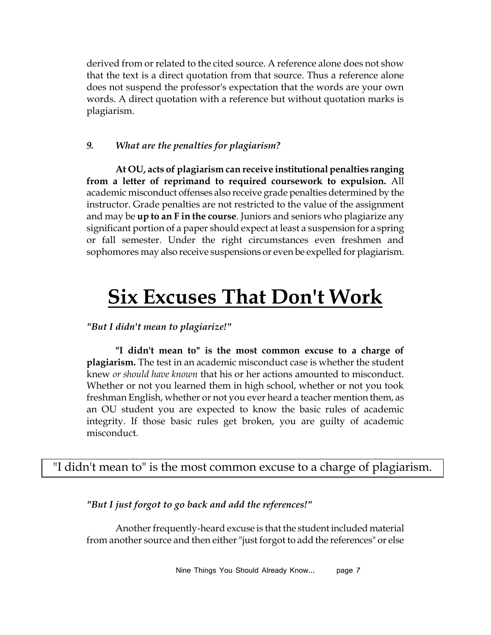derived from or related to the cited source. A reference alone does not show that the text is a direct quotation from that source. Thus a reference alone does not suspend the professor's expectation that the words are your own words. A direct quotation with a reference but without quotation marks is plagiarism.

#### *9. What are the penalties for plagiarism?*

**At OU, acts of plagiarism can receive institutional penalties ranging from a letter of reprimand to required coursework to expulsion.** All academic misconduct offenses also receive grade penalties determined by the instructor. Grade penalties are not restricted to the value of the assignment and may be **up to an F in the course**. Juniors and seniors who plagiarize any significant portion of a paper should expect at least a suspension for a spring or fall semester. Under the right circumstances even freshmen and sophomores may also receive suspensions or even be expelled for plagiarism.

## **Six Excuses That Don't Work**

#### *"But I didn't mean to plagiarize!"*

**"I didn't mean to" is the most common excuse to a charge of plagiarism.** The test in an academic misconduct case is whether the student knew *or should have known* that his or her actions amounted to misconduct. Whether or not you learned them in high school, whether or not you took freshman English, whether or not you ever heard a teacher mention them, as an OU student you are expected to know the basic rules of academic integrity. If those basic rules get broken, you are guilty of academic misconduct.

#### "I didn't mean to" is the most common excuse to a charge of plagiarism.

#### *"But I just forgot to go back and add the references!"*

Another frequently-heard excuse is that the student included material from another source and then either "just forgot to add the references" or else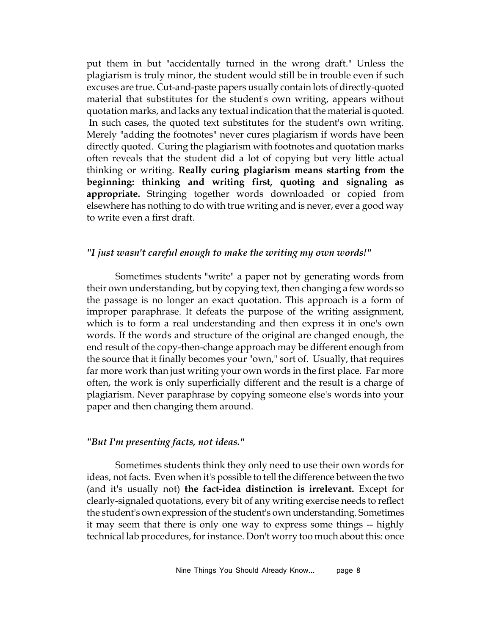put them in but "accidentally turned in the wrong draft." Unless the plagiarism is truly minor, the student would still be in trouble even if such excuses are true. Cut-and-paste papers usually contain lots of directly-quoted material that substitutes for the student's own writing, appears without quotation marks, and lacks any textual indication that the material is quoted. In such cases, the quoted text substitutes for the student's own writing. Merely "adding the footnotes" never cures plagiarism if words have been directly quoted. Curing the plagiarism with footnotes and quotation marks often reveals that the student did a lot of copying but very little actual thinking or writing. **Really curing plagiarism means starting from the beginning: thinking and writing first, quoting and signaling as appropriate.** Stringing together words downloaded or copied from elsewhere has nothing to do with true writing and is never, ever a good way to write even a first draft.

#### *"I just wasn't careful enough to make the writing my own words!"*

Sometimes students "write" a paper not by generating words from their own understanding, but by copying text, then changing a few words so the passage is no longer an exact quotation. This approach is a form of improper paraphrase. It defeats the purpose of the writing assignment, which is to form a real understanding and then express it in one's own words. If the words and structure of the original are changed enough, the end result of the copy-then-change approach may be different enough from the source that it finally becomes your "own," sort of. Usually, that requires far more work than just writing your own words in the first place. Far more often, the work is only superficially different and the result is a charge of plagiarism. Never paraphrase by copying someone else's words into your paper and then changing them around.

#### *"But I'm presenting facts, not ideas."*

Sometimes students think they only need to use their own words for ideas, not facts. Even when it's possible to tell the difference between the two (and it's usually not) **the fact-idea distinction is irrelevant.** Except for clearly-signaled quotations, every bit of any writing exercise needs to reflect the student's own expression of the student's own understanding. Sometimes it may seem that there is only one way to express some things -- highly technical lab procedures, for instance. Don't worry too much about this: once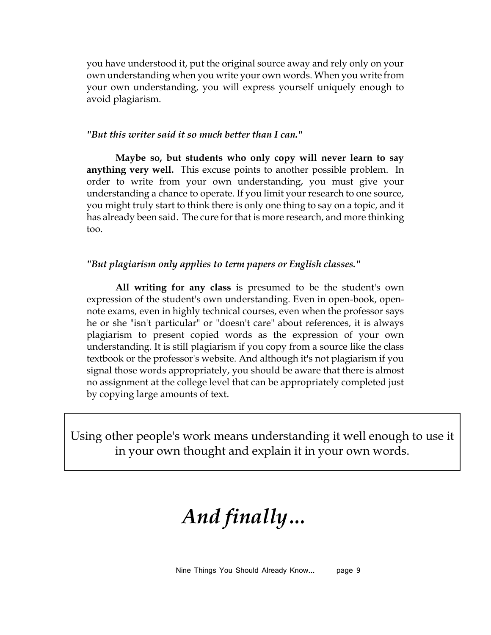you have understood it, put the original source away and rely only on your own understanding when you write your own words. When you write from your own understanding, you will express yourself uniquely enough to avoid plagiarism.

#### *"But this writer said it so much better than I can."*

**Maybe so, but students who only copy will never learn to say anything very well.** This excuse points to another possible problem. In order to write from your own understanding, you must give your understanding a chance to operate. If you limit your research to one source, you might truly start to think there is only one thing to say on a topic, and it has already been said. The cure for that is more research, and more thinking too.

#### *"But plagiarism only applies to term papers or English classes."*

**All writing for any class** is presumed to be the student's own expression of the student's own understanding. Even in open-book, opennote exams, even in highly technical courses, even when the professor says he or she "isn't particular" or "doesn't care" about references, it is always plagiarism to present copied words as the expression of your own understanding. It is still plagiarism if you copy from a source like the class textbook or the professor's website. And although it's not plagiarism if you signal those words appropriately, you should be aware that there is almost no assignment at the college level that can be appropriately completed just by copying large amounts of text.

Using other people's work means understanding it well enough to use it in your own thought and explain it in your own words.

# *And finally…*